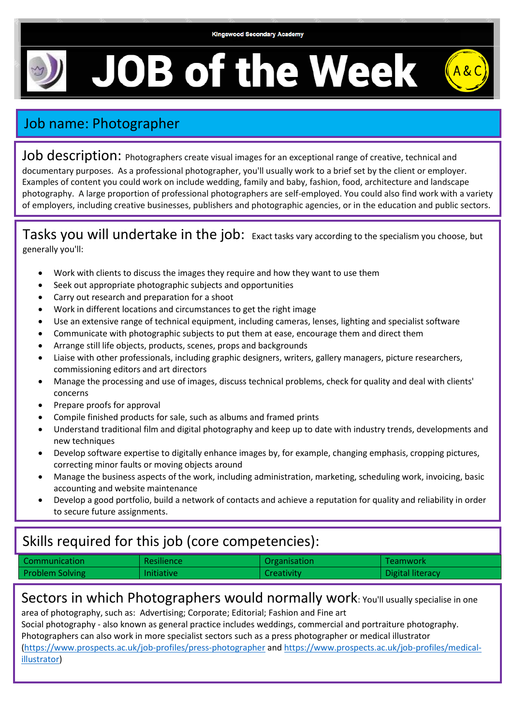$A$ &C

## **JOB of the Week**



Job description: Photographers create visual images for an exceptional range of creative, technical and documentary purposes. As a professional photographer, you'll usually work to a brief set by the client or employer. Examples of content you could work on include wedding, family and baby, fashion, food, architecture and landscape photography. A large proportion of professional photographers are self-employed. You could also find work with a variety of employers, including creative businesses, publishers and photographic agencies, or in the education and public sectors.

Tasks you will undertake in the job: Exact tasks vary according to the specialism you choose, but generally you'll:

- Work with clients to discuss the images they require and how they want to use them
- Seek out appropriate photographic subjects and opportunities
- Carry out research and preparation for a shoot
- Work in different locations and circumstances to get the right image
- Use an extensive range of technical equipment, including cameras, lenses, lighting and specialist software
- Communicate with photographic subjects to put them at ease, encourage them and direct them
- Arrange still life objects, products, scenes, props and backgrounds
- Liaise with other professionals, including graphic designers, writers, gallery managers, picture researchers, commissioning editors and art directors
- Manage the processing and use of images, discuss technical problems, check for quality and deal with clients' concerns
- Prepare proofs for approval
- Compile finished products for sale, such as albums and framed prints
- Understand traditional film and digital photography and keep up to date with industry trends, developments and new techniques
- Develop software expertise to digitally enhance images by, for example, changing emphasis, cropping pictures, correcting minor faults or moving objects around
- Manage the business aspects of the work, including administration, marketing, scheduling work, invoicing, basic accounting and website maintenance
- Develop a good portfolio, build a network of contacts and achieve a reputation for quality and reliability in order to secure future assignments.

## Skills required for this job (core competencies):

| Communication          | Resilience        | Organisation      | Teamwork         |
|------------------------|-------------------|-------------------|------------------|
| <b>Problem Solving</b> | <b>Initiative</b> | <b>Creativity</b> | Digital literacy |

## Sectors in which Photographers would normally work: You'll usually specialise in one

area of photography, such as: Advertising; Corporate; Editorial; Fashion and Fine art Social photography - also known as general practice includes weddings, commercial and portraiture photography. Photographers can also work in more specialist sectors such as a press photographer or medical illustrator

[\(https://www.prospects.ac.uk/job-profiles/press-photographer](https://www.prospects.ac.uk/job-profiles/press-photographer) an[d https://www.prospects.ac.uk/job-profiles/medical](https://www.prospects.ac.uk/job-profiles/medical-illustrator)[illustrator\)](https://www.prospects.ac.uk/job-profiles/medical-illustrator)